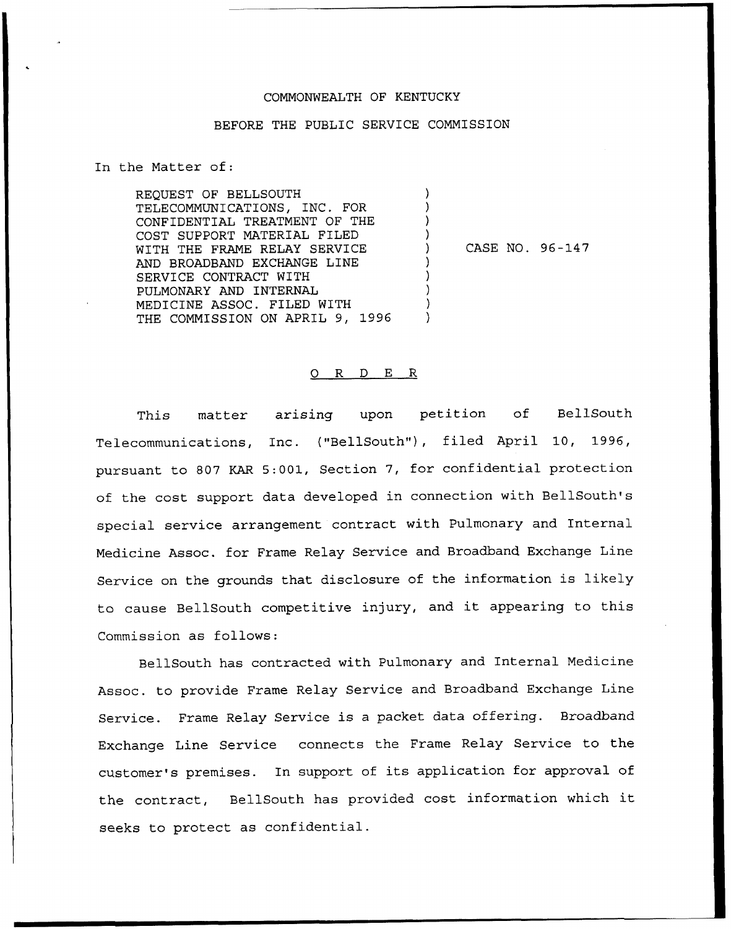## COMMONWEALTH OF KENTUCKY

## BEFORE THE PUBLIC SERVICE COMMISSION

) ) ) )

)  $\prime$ ) ) )

In the Matter of:

REQUEST OF BELLSOUTH TELECOMMUNICATIONS, INC. FOR CONFIDENTIAL TREATMENT OF THE COST SUPPORT MATERIAL FILED WITH THE FRAME RELAY SERVICE AND BROADBAND EXCHANGE LINE SERVICE CONTRACT WITH PULMONARY AND INTERNAL MEDICINE ASSOC. FILED WITH THE COMMISSION ON APRIL 9, 1996

) CASE NO. 96-147

## 0 R <sup>D</sup> E R

This matter arising upon petition of BellSouth Telecommunications, Inc. ("BellSouth"), filed April 10, 1996, pursuant to 807 KAR 5:001, Section 7, for confidential protection of the cost support data developed in connection with BellSouth's special service arrangement contract with Pulmonary and Internal Medicine Assoc. for Frame Relay Service and Broadband Exchange Line Service on the grounds that disclosure of the information is likely to cause BellSouth competitive injury, and it appearing to this Commission as follows:

BellSouth has contracted with Pulmonary and Internal Medicine Assoc. to provide Frame Relay Service and Broadband. Exchange Line Service. Frame Relay Service is <sup>a</sup> packet data offering. Broadband Exchange Line Service connects the Frame Relay Service to the customer's premises. In support of its application for approval of the contract, BellSouth has provided cost information which it seeks to protect as confidential.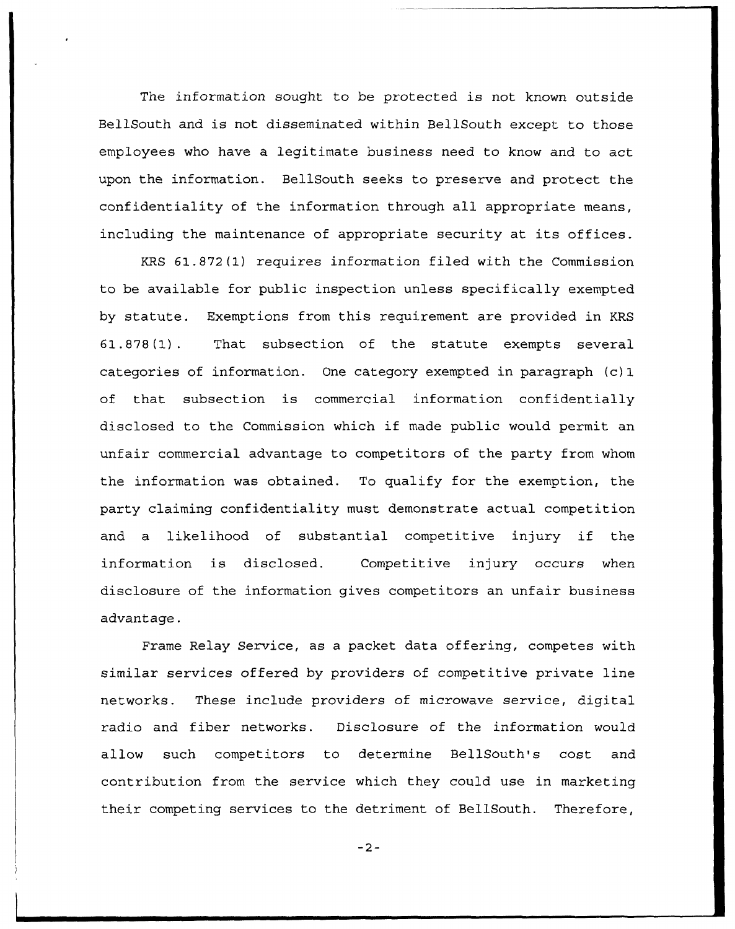The information sought to be protected is not known outside BellSouth and is not disseminated within BellSouth except to those employees who have a legitimate business need to know and to act upon the information. BellSouth seeks to preserve and protect the confidentiality of the information through all appropriate means, including the maintenance of appropriate security at its offices.

KRS 61.872(1) requires information filed with the Commission to be available for public inspection unless specifically exempted by statute. Exemptions from this requirement are provided in KRS 61.878(1). That subsection of the statute exempts several categories of information. One category exempted in paragraph (c) 1 of that subsection is commercial information confidentially disclosed to the Commission which if made public would permit an unfair commercial advantage to competitors of the party from whom the information was obtained. To qualify for the exemption, the party claiming confidentiality must demonstrate actual competition and <sup>a</sup> likelihood of substantial competitive injury if the information is disclosed. Competitive injury occurs when disclosure of the information gives competitors an unfair business advantage.

Frame Relay Service, as a packet data offering, competes with similar services offered by providers of competitive private line networks. These include providers of microwave service, digital radio and fiber networks. Disclosure of the information would allow such competitors to determine BellSouth's cost and contribution from the service which they could use in marketing their competing services to the detriment of BellSouth. Therefore,

 $-2-$